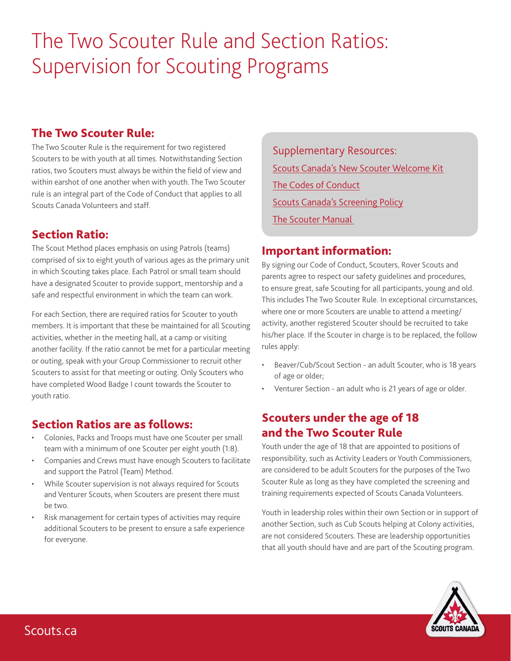## The Two Scouter Rule and Section Ratios: Supervision for Scouting Programs

## The Two Scouter Rule:

The Two Scouter Rule is the requirement for two registered Scouters to be with youth at all times. Notwithstanding Section ratios, two Scouters must always be within the field of view and within earshot of one another when with youth. The Two Scouter rule is an integral part of the Code of Conduct that applies to all Scouts Canada Volunteers and staff.

## Section Ratio:

The Scout Method places emphasis on using Patrols (teams) comprised of six to eight youth of various ages as the primary unit in which Scouting takes place. Each Patrol or small team should have a designated Scouter to provide support, mentorship and a safe and respectful environment in which the team can work.

For each Section, there are required ratios for Scouter to youth members. It is important that these be maintained for all Scouting activities, whether in the meeting hall, at a camp or visiting another facility. If the ratio cannot be met for a particular meeting or outing, speak with your Group Commissioner to recruit other Scouters to assist for that meeting or outing. Only Scouters who have completed Wood Badge I count towards the Scouter to youth ratio.

## Section Ratios are as follows:

- Colonies, Packs and Troops must have one Scouter per small team with a minimum of one Scouter per eight youth (1:8).
- Companies and Crews must have enough Scouters to facilitate and support the Patrol (Team) Method.
- While Scouter supervision is not always required for Scouts and Venturer Scouts, when Scouters are present there must be two.
- Risk management for certain types of activities may require additional Scouters to be present to ensure a safe experience for everyone.

Supplementary Resources: [Scouts Canada's New Scouter Welcome Kit](http://www.scouts.ca/nswk) The [Codes of Conduct](http://www.scouts.ca/f/hwag) [Scouts Canada's Screening Policy](http://www.scouts.ca/f/hx28) [The Scouter Manual](http://www.scouts.ca/f/x6g) 

## Important information:

By signing our Code of Conduct, Scouters, Rover Scouts and parents agree to respect our safety guidelines and procedures, to ensure great, safe Scouting for all participants, young and old. This includes The Two Scouter Rule. In exceptional circumstances, where one or more Scouters are unable to attend a meeting/ activity, another registered Scouter should be recruited to take his/her place. If the Scouter in charge is to be replaced, the follow rules apply:

- Beaver/Cub/Scout Section an adult Scouter, who is 18 years of age or older;
- Venturer Section an adult who is 21 years of age or older.

## Scouters under the age of 18 and the Two Scouter Rule

Youth under the age of 18 that are appointed to positions of responsibility, such as Activity Leaders or Youth Commissioners, are considered to be adult Scouters for the purposes of the Two Scouter Rule as long as they have completed the screening and training requirements expected of Scouts Canada Volunteers.

Youth in leadership roles within their own Section or in support of another Section, such as Cub Scouts helping at Colony activities, are not considered Scouters. These are leadership opportunities that all youth should have and are part of the Scouting program.

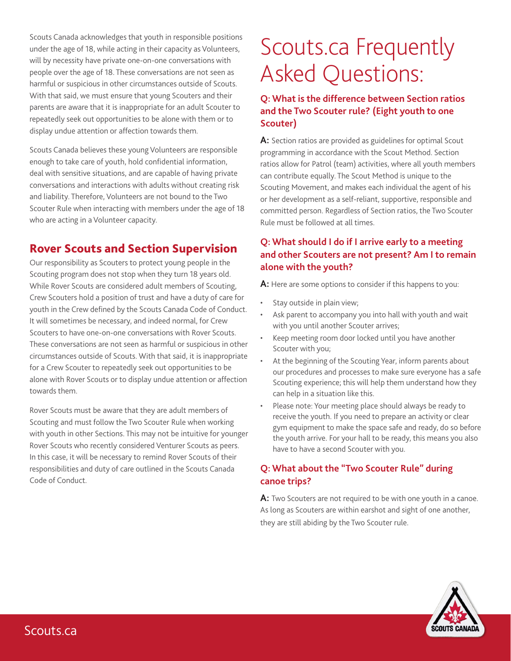Scouts Canada acknowledges that youth in responsible positions under the age of 18, while acting in their capacity as Volunteers, will by necessity have private one-on-one conversations with people over the age of 18. These conversations are not seen as harmful or suspicious in other circumstances outside of Scouts. With that said, we must ensure that young Scouters and their parents are aware that it is inappropriate for an adult Scouter to repeatedly seek out opportunities to be alone with them or to display undue attention or affection towards them.

Scouts Canada believes these young Volunteers are responsible enough to take care of youth, hold confidential information, deal with sensitive situations, and are capable of having private conversations and interactions with adults without creating risk and liability. Therefore, Volunteers are not bound to the Two Scouter Rule when interacting with members under the age of 18 who are acting in a Volunteer capacity.

## Rover Scouts and Section Supervision

Our responsibility as Scouters to protect young people in the Scouting program does not stop when they turn 18 years old. While Rover Scouts are considered adult members of Scouting, Crew Scouters hold a position of trust and have a duty of care for youth in the Crew defined by the Scouts Canada Code of Conduct. It will sometimes be necessary, and indeed normal, for Crew Scouters to have one-on-one conversations with Rover Scouts. These conversations are not seen as harmful or suspicious in other circumstances outside of Scouts. With that said, it is inappropriate for a Crew Scouter to repeatedly seek out opportunities to be alone with Rover Scouts or to display undue attention or affection towards them.

Rover Scouts must be aware that they are adult members of Scouting and must follow the Two Scouter Rule when working with youth in other Sections. This may not be intuitive for younger Rover Scouts who recently considered Venturer Scouts as peers. In this case, it will be necessary to remind Rover Scouts of their responsibilities and duty of care outlined in the Scouts Canada Code of Conduct.

# Scouts.ca Frequently Asked Questions:

#### **Q: What is the difference between Section ratios and the Two Scouter rule? (Eight youth to one Scouter)**

**A:** Section ratios are provided as guidelines for optimal Scout programming in accordance with the Scout Method. Section ratios allow for Patrol (team) activities, where all youth members can contribute equally. The Scout Method is unique to the Scouting Movement, and makes each individual the agent of his or her development as a self-reliant, supportive, responsible and committed person. Regardless of Section ratios, the Two Scouter Rule must be followed at all times.

### **Q: What should I do if I arrive early to a meeting and other Scouters are not present? Am I to remain alone with the youth?**

**A:** Here are some options to consider if this happens to you:

- Stay outside in plain view;
- Ask parent to accompany you into hall with youth and wait with you until another Scouter arrives;
- Keep meeting room door locked until you have another Scouter with you;
- At the beginning of the Scouting Year, inform parents about our procedures and processes to make sure everyone has a safe Scouting experience; this will help them understand how they can help in a situation like this.
- Please note: Your meeting place should always be ready to receive the youth. If you need to prepare an activity or clear gym equipment to make the space safe and ready, do so before the youth arrive. For your hall to be ready, this means you also have to have a second Scouter with you.

### **Q: What about the "Two Scouter Rule" during canoe trips?**

**A:** Two Scouters are not required to be with one youth in a canoe. As long as Scouters are within earshot and sight of one another, they are still abiding by the Two Scouter rule.

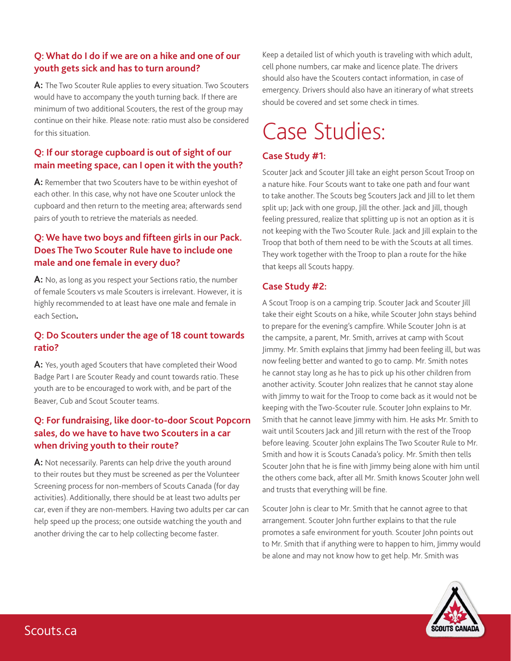#### **Q: What do I do if we are on a hike and one of our youth gets sick and has to turn around?**

**A:** The Two Scouter Rule applies to every situation. Two Scouters would have to accompany the youth turning back. If there are minimum of two additional Scouters, the rest of the group may continue on their hike. Please note: ratio must also be considered for this situation.

### **Q: If our storage cupboard is out of sight of our main meeting space, can I open it with the youth?**

**A:** Remember that two Scouters have to be within eyeshot of each other. In this case, why not have one Scouter unlock the cupboard and then return to the meeting area; afterwards send pairs of youth to retrieve the materials as needed.

#### **Q: We have two boys and fifteen girls in our Pack. Does The Two Scouter Rule have to include one male and one female in every duo?**

A: No, as long as you respect your Sections ratio, the number of female Scouters vs male Scouters is irrelevant. However, it is highly recommended to at least have one male and female in each Section**.** 

#### **Q: Do Scouters under the age of 18 count towards ratio?**

**A:** Yes, youth aged Scouters that have completed their Wood Badge Part I are Scouter Ready and count towards ratio. These youth are to be encouraged to work with, and be part of the Beaver, Cub and Scout Scouter teams.

#### **Q: For fundraising, like door-to-door Scout Popcorn sales, do we have to have two Scouters in a car when driving youth to their route?**

**A:** Not necessarily. Parents can help drive the youth around to their routes but they must be screened as per the Volunteer Screening process for non-members of Scouts Canada (for day activities). Additionally, there should be at least two adults per car, even if they are non-members. Having two adults per car can help speed up the process; one outside watching the youth and another driving the car to help collecting become faster.

Keep a detailed list of which youth is traveling with which adult, cell phone numbers, car make and licence plate. The drivers should also have the Scouters contact information, in case of emergency. Drivers should also have an itinerary of what streets should be covered and set some check in times.

# Case Studies:

#### **Case Study #1:**

Scouter Jack and Scouter Jill take an eight person Scout Troop on a nature hike. Four Scouts want to take one path and four want to take another. The Scouts beg Scouters Jack and Jill to let them split up; Jack with one group, Jill the other. Jack and Jill, though feeling pressured, realize that splitting up is not an option as it is not keeping with the Two Scouter Rule. Jack and Jill explain to the Troop that both of them need to be with the Scouts at all times. They work together with the Troop to plan a route for the hike that keeps all Scouts happy.

#### **Case Study #2:**

A Scout Troop is on a camping trip. Scouter Jack and Scouter Jill take their eight Scouts on a hike, while Scouter John stays behind to prepare for the evening's campfire. While Scouter John is at the campsite, a parent, Mr. Smith, arrives at camp with Scout Jimmy. Mr. Smith explains that Jimmy had been feeling ill, but was now feeling better and wanted to go to camp. Mr. Smith notes he cannot stay long as he has to pick up his other children from another activity. Scouter John realizes that he cannot stay alone with Jimmy to wait for the Troop to come back as it would not be keeping with the Two-Scouter rule. Scouter John explains to Mr. Smith that he cannot leave Jimmy with him. He asks Mr. Smith to wait until Scouters Jack and Jill return with the rest of the Troop before leaving. Scouter John explains The Two Scouter Rule to Mr. Smith and how it is Scouts Canada's policy. Mr. Smith then tells Scouter John that he is fine with Jimmy being alone with him until the others come back, after all Mr. Smith knows Scouter John well and trusts that everything will be fine.

Scouter John is clear to Mr. Smith that he cannot agree to that arrangement. Scouter John further explains to that the rule promotes a safe environment for youth. Scouter John points out to Mr. Smith that if anything were to happen to him, Jimmy would be alone and may not know how to get help. Mr. Smith was